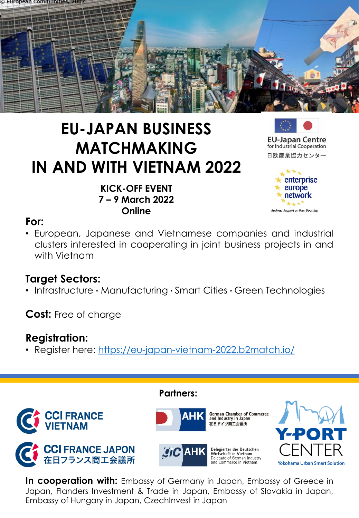

# **EU-JAPAN BUSINESS MATCHMAKING IN AND WITH VIETNAM 2022**





日欧産業協力センター



## **For:**

• European, Japanese and Vietnamese companies and industrial clusters interested in cooperating in joint business projects in and with Vietnam

## **Target Sectors:**

• Infrastructure **·** Manufacturing **·** Smart Cities **·** Green Technologies

**Cost:** Free of charge

## **Registration:**

• Register here: <https://eu-japan-vietnam-2022.b2match.io/>



**In cooperation with:** Embassy of Germany in Japan, Embassy of Greece in Japan, Flanders Investment & Trade in Japan, Embassy of Slovakia in Japan, Embassy of Hungary in Japan, CzechInvest in Japan